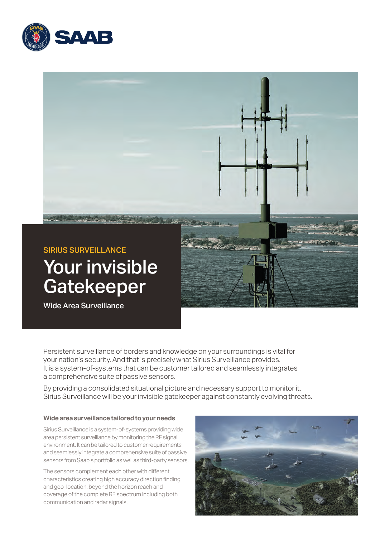



Persistent surveillance of borders and knowledge on your surroundings is vital for your nation's security. And that is precisely what Sirius Surveillance provides. It is a system-of-systems that can be customer tailored and seamlessly integrates a comprehensive suite of passive sensors.

By providing a consolidated situational picture and necessary support to monitor it, Sirius Surveillance will be your invisible gatekeeper against constantly evolving threats.

### **Wide area surveillance tailored to your needs**

Sirius Surveillance is a system-of-systems providing wide area persistent surveillance by monitoring the RF signal environment. It can be tailored to customer requirements and seamlessly integrate a comprehensive suite of passive sensors from Saab's portfolio as well as third-party sensors.

The sensors complement each other with different characteristics creating high accuracy direction finding and geo-location, beyond the horizon reach and coverage of the complete RF spectrum including both communication and radar signals.